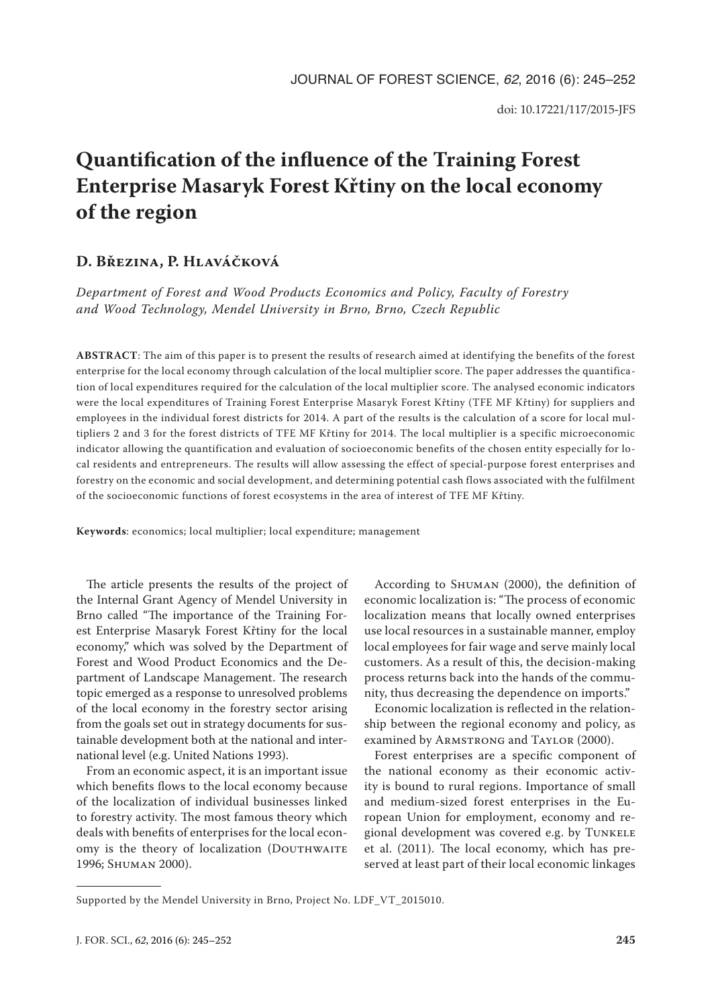# **Quantification of the influence of the Training Forest Enterprise Masaryk Forest Křtiny on the local economy of the region**

## **D. Březina, P. Hlaváčková**

*Department of Forest and Wood Products Economics and Policy, Faculty of Forestry and Wood Technology, Mendel University in Brno, Brno, Czech Republic*

**ABSTRACT**: The aim of this paper is to present the results of research aimed at identifying the benefits of the forest enterprise for the local economy through calculation of the local multiplier score. The paper addresses the quantification of local expenditures required for the calculation of the local multiplier score. The analysed economic indicators were the local expenditures of Training Forest Enterprise Masaryk Forest Křtiny (TFE MF Křtiny) for suppliers and employees in the individual forest districts for 2014. A part of the results is the calculation of a score for local multipliers 2 and 3 for the forest districts of TFE MF Křtiny for 2014. The local multiplier is a specific microeconomic indicator allowing the quantification and evaluation of socioeconomic benefits of the chosen entity especially for local residents and entrepreneurs. The results will allow assessing the effect of special-purpose forest enterprises and forestry on the economic and social development, and determining potential cash flows associated with the fulfilment of the socioeconomic functions of forest ecosystems in the area of interest of TFE MF Křtiny.

**Keywords**: economics; local multiplier; local expenditure; management

The article presents the results of the project of the Internal Grant Agency of Mendel University in Brno called "The importance of the Training Forest Enterprise Masaryk Forest Křtiny for the local economy," which was solved by the Department of Forest and Wood Product Economics and the Department of Landscape Management. The research topic emerged as a response to unresolved problems of the local economy in the forestry sector arising from the goals set out in strategy documents for sustainable development both at the national and international level (e.g. United Nations 1993).

From an economic aspect, it is an important issue which benefits flows to the local economy because of the localization of individual businesses linked to forestry activity. The most famous theory which deals with benefits of enterprises for the local economy is the theory of localization (DOUTHWAITE 1996; Shuman 2000).

According to Shuman (2000), the definition of economic localization is: "The process of economic localization means that locally owned enterprises use local resources in a sustainable manner, employ local employees for fair wage and serve mainly local customers. As a result of this, the decision-making process returns back into the hands of the community, thus decreasing the dependence on imports."

Economic localization is reflected in the relationship between the regional economy and policy, as examined by ARMSTRONG and TAYLOR (2000).

Forest enterprises are a specific component of the national economy as their economic activity is bound to rural regions. Importance of small and medium-sized forest enterprises in the European Union for employment, economy and regional development was covered e.g. by Tunkele et al. (2011). The local economy, which has preserved at least part of their local economic linkages

Supported by the Mendel University in Brno, Project No. LDF\_VT\_2015010.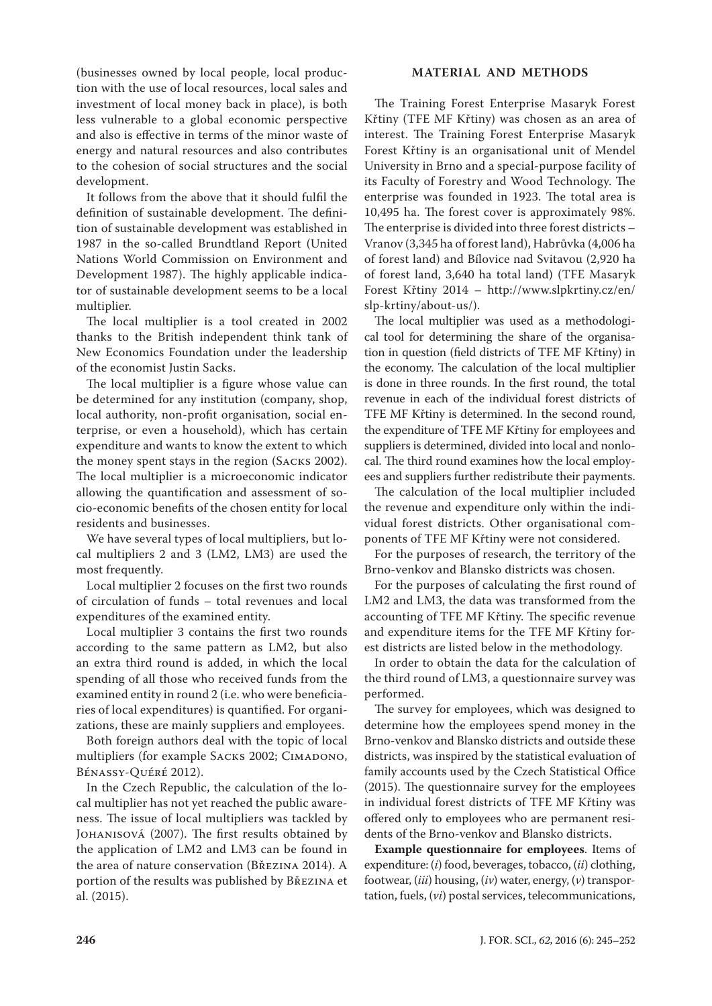(businesses owned by local people, local production with the use of local resources, local sales and investment of local money back in place), is both less vulnerable to a global economic perspective and also is effective in terms of the minor waste of energy and natural resources and also contributes to the cohesion of social structures and the social development.

It follows from the above that it should fulfil the definition of sustainable development. The definition of sustainable development was established in 1987 in the so-called Brundtland Report (United Nations World Commission on Environment and Development 1987). The highly applicable indicator of sustainable development seems to be a local multiplier.

The local multiplier is a tool created in 2002 thanks to the British independent think tank of New Economics Foundation under the leadership of the economist Justin Sacks.

The local multiplier is a figure whose value can be determined for any institution (company, shop, local authority, non-profit organisation, social enterprise, or even a household), which has certain expenditure and wants to know the extent to which the money spent stays in the region (Sacks 2002). The local multiplier is a microeconomic indicator allowing the quantification and assessment of socio-economic benefits of the chosen entity for local residents and businesses.

We have several types of local multipliers, but local multipliers 2 and 3 (LM2, LM3) are used the most frequently.

Local multiplier 2 focuses on the first two rounds of circulation of funds – total revenues and local expenditures of the examined entity.

Local multiplier 3 contains the first two rounds according to the same pattern as LM2, but also an extra third round is added, in which the local spending of all those who received funds from the examined entity in round 2 (i.e. who were beneficiaries of local expenditures) is quantified. For organizations, these are mainly suppliers and employees.

Both foreign authors deal with the topic of local multipliers (for example SACKS 2002; CIMADONO, Bénassy-Quéré 2012).

In the Czech Republic, the calculation of the local multiplier has not yet reached the public awareness. The issue of local multipliers was tackled by Johanisová (2007). The first results obtained by the application of LM2 and LM3 can be found in the area of nature conservation (Březina 2014). A portion of the results was published by Březina et al. (2015).

## **MATERIAL AND METHODS**

The Training Forest Enterprise Masaryk Forest Křtiny (TFE MF Křtiny) was chosen as an area of interest. The Training Forest Enterprise Masaryk Forest Křtiny is an organisational unit of Mendel University in Brno and a special-purpose facility of its Faculty of Forestry and Wood Technology. The enterprise was founded in 1923. The total area is 10,495 ha. The forest cover is approximately 98%. The enterprise is divided into three forest districts – Vranov (3,345 ha of forest land), Habrůvka (4,006 ha of forest land) and Bílovice nad Svitavou (2,920 ha of forest land, 3,640 ha total land) (TFE Masaryk Forest Křtiny 2014 – http://www.slpkrtiny.cz/en/ slp-krtiny/about-us/).

The local multiplier was used as a methodological tool for determining the share of the organisation in question (field districts of TFE MF Křtiny) in the economy. The calculation of the local multiplier is done in three rounds. In the first round, the total revenue in each of the individual forest districts of TFE MF Křtiny is determined. In the second round, the expenditure of TFE MF Křtiny for employees and suppliers is determined, divided into local and nonlocal. The third round examines how the local employees and suppliers further redistribute their payments.

The calculation of the local multiplier included the revenue and expenditure only within the individual forest districts. Other organisational components of TFE MF Křtiny were not considered.

For the purposes of research, the territory of the Brno-venkov and Blansko districts was chosen.

For the purposes of calculating the first round of LM2 and LM3, the data was transformed from the accounting of TFE MF Křtiny. The specific revenue and expenditure items for the TFE MF Křtiny forest districts are listed below in the methodology.

In order to obtain the data for the calculation of the third round of LM3, a questionnaire survey was performed.

The survey for employees, which was designed to determine how the employees spend money in the Brno-venkov and Blansko districts and outside these districts, was inspired by the statistical evaluation of family accounts used by the Czech Statistical Office (2015). The questionnaire survey for the employees in individual forest districts of TFE MF Křtiny was offered only to employees who are permanent residents of the Brno-venkov and Blansko districts.

**Example questionnaire for employees**. Items of expenditure: (*i*) food, beverages, tobacco, (*ii*) clothing, footwear, (*iii*) housing, (*iv*) water, energy, (*v*) transportation, fuels, (*vi*) postal services, telecommunications,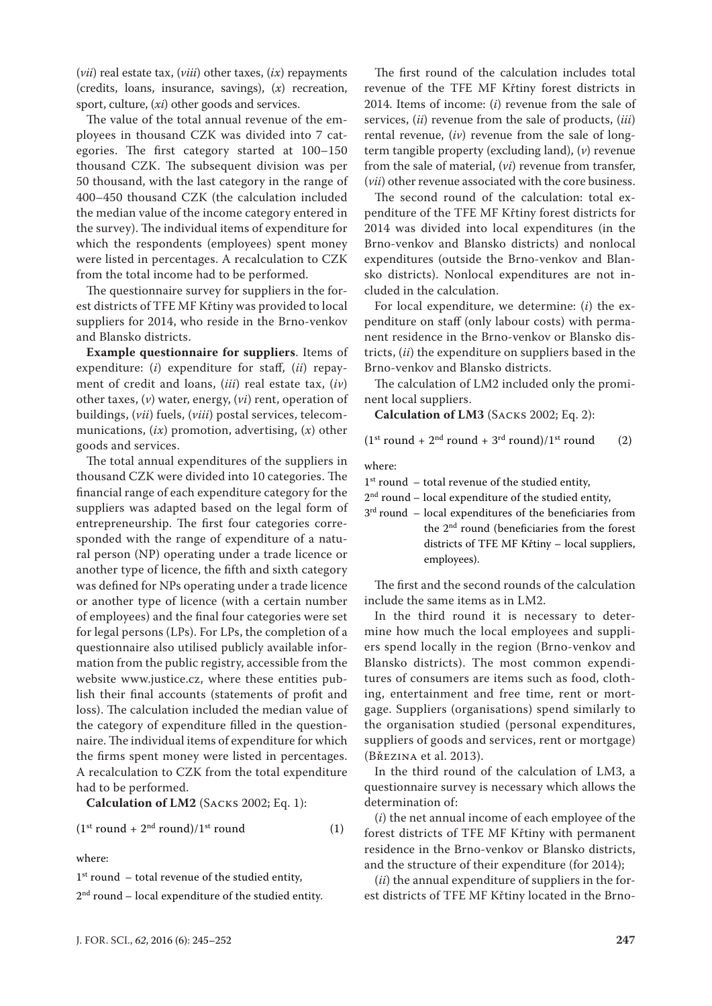(*vii*) real estate tax, (*viii*) other taxes, (*ix*) repayments (credits, loans, insurance, savings), (*x*) recreation, sport, culture, (*xi*) other goods and services.

The value of the total annual revenue of the employees in thousand CZK was divided into 7 categories. The first category started at 100–150 thousand CZK. The subsequent division was per 50 thousand, with the last category in the range of 400–450 thousand CZK (the calculation included the median value of the income category entered in the survey). The individual items of expenditure for which the respondents (employees) spent money were listed in percentages. A recalculation to CZK from the total income had to be performed.

The questionnaire survey for suppliers in the forest districts of TFE MF Křtiny was provided to local suppliers for 2014, who reside in the Brno-venkov and Blansko districts.

**Example questionnaire for suppliers**. Items of expenditure: (*i*) expenditure for staff, (*ii*) repayment of credit and loans, (*iii*) real estate tax, (*iv*) other taxes, (*v*) water, energy, (*vi*) rent, operation of buildings, (*vii*) fuels, (*viii*) postal services, telecommunications, (*ix*) promotion, advertising, (*x*) other goods and services.

The total annual expenditures of the suppliers in thousand CZK were divided into 10 categories. The financial range of each expenditure category for the suppliers was adapted based on the legal form of entrepreneurship. The first four categories corresponded with the range of expenditure of a natural person (NP) operating under a trade licence or another type of licence, the fifth and sixth category was defined for NPs operating under a trade licence or another type of licence (with a certain number of employees) and the final four categories were set for legal persons (LPs). For LPs, the completion of a questionnaire also utilised publicly available information from the public registry, accessible from the website www.justice.cz, where these entities publish their final accounts (statements of profit and loss). The calculation included the median value of the category of expenditure filled in the questionnaire. The individual items of expenditure for which the firms spent money were listed in percentages. A recalculation to CZK from the total expenditure had to be performed.

**Calculation of LM2** (Sacks 2002; Eq. 1):

$$
(1st round + 2nd round)/1st round
$$
 (1)

where:

 $1<sup>st</sup>$  round – total revenue of the studied entity,

 $2<sup>nd</sup>$  round – local expenditure of the studied entity.

The first round of the calculation includes total revenue of the TFE MF Křtiny forest districts in 2014. Items of income: (*i*) revenue from the sale of services, (*ii*) revenue from the sale of products, (*iii*) rental revenue, (*iv*) revenue from the sale of longterm tangible property (excluding land), (*v*) revenue from the sale of material, (*vi*) revenue from transfer, (*vii*) other revenue associated with the core business.

The second round of the calculation: total expenditure of the TFE MF Křtiny forest districts for 2014 was divided into local expenditures (in the Brno-venkov and Blansko districts) and nonlocal expenditures (outside the Brno-venkov and Blansko districts). Nonlocal expenditures are not included in the calculation.

For local expenditure, we determine: (*i*) the expenditure on staff (only labour costs) with permanent residence in the Brno-venkov or Blansko districts, (*ii*) the expenditure on suppliers based in the Brno-venkov and Blansko districts.

The calculation of LM2 included only the prominent local suppliers.

**Calculation of LM3** (Sacks 2002; Eq. 2):

$$
(1st round + 2nd round + 3rd round)/1st round (2)
$$

where:

 $1<sup>st</sup>$  round – total revenue of the studied entity,

 $2<sup>nd</sup>$  round – local expenditure of the studied entity,

3<sup>rd</sup> round – local expenditures of the beneficiaries from the 2nd round (beneficiaries from the forest districts of TFE MF Křtiny – local suppliers, employees).

The first and the second rounds of the calculation include the same items as in LM2.

In the third round it is necessary to determine how much the local employees and suppliers spend locally in the region (Brno-venkov and Blansko districts). The most common expenditures of consumers are items such as food, clothing, entertainment and free time, rent or mortgage. Suppliers (organisations) spend similarly to the organisation studied (personal expenditures, suppliers of goods and services, rent or mortgage) (Březina et al. 2013).

In the third round of the calculation of LM3, a questionnaire survey is necessary which allows the determination of:

(*i*) the net annual income of each employee of the forest districts of TFE MF Křtiny with permanent residence in the Brno-venkov or Blansko districts, and the structure of their expenditure (for 2014);

(*ii*) the annual expenditure of suppliers in the forest districts of TFE MF Křtiny located in the Brno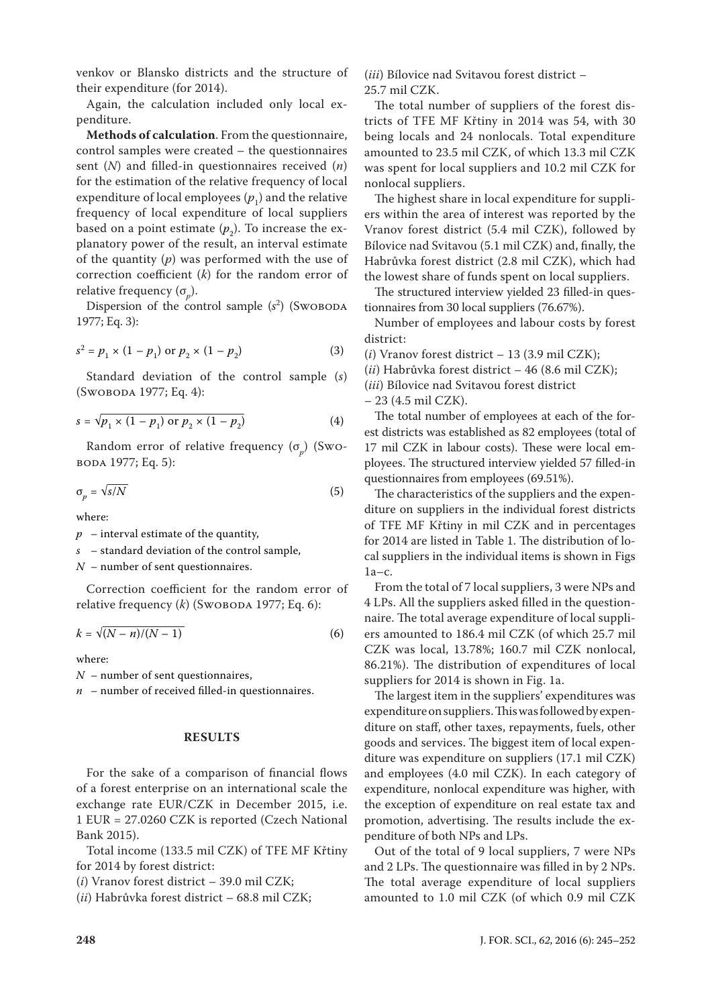venkov or Blansko districts and the structure of their expenditure (for 2014).

Again, the calculation included only local expenditure.

**Methods of calculation**. From the questionnaire, control samples were created – the questionnaires sent (*N*) and filled-in questionnaires received (*n*) for the estimation of the relative frequency of local expenditure of local employees  $(p_1)$  and the relative frequency of local expenditure of local suppliers based on a point estimate  $(p_{2})$ . To increase the explanatory power of the result, an interval estimate of the quantity (*p*) was performed with the use of correction coefficient (*k*) for the random error of relative frequency  $(\sigma_p)$ .

Dispersion of the control sample (s<sup>2</sup>) (Swoboda 1977; Eq. 3):

$$
s^{2} = p_{1} \times (1 - p_{1}) \text{ or } p_{2} \times (1 - p_{2})
$$
 (3)

Standard deviation of the control sample (*s*) (Swoboda 1977; Eq. 4):

$$
s = \sqrt{p_1 \times (1 - p_1) \text{ or } p_2 \times (1 - p_2)}
$$
 (4)

Random error of relative frequency (σ*p*) (Swoboda 1977; Eq. 5):

$$
\sigma_p = \sqrt{s/N} \tag{5}
$$

where:

 $p$  – interval estimate of the quantity,

*s* – standard deviation of the control sample,

*N* – number of sent questionnaires.

Correction coefficient for the random error of relative frequency (*k*) (Swовора 1977; Eq. 6):

$$
k = \sqrt{(N-n)/(N-1)}\tag{6}
$$

where:

*N* – number of sent questionnaires,

 $n$  – number of received filled-in questionnaires.

### **RESULTS**

For the sake of a comparison of financial flows of a forest enterprise on an international scale the exchange rate EUR/CZK in December 2015, i.e. 1 EUR = 27.0260 CZK is reported (Czech National Bank 2015).

Total income (133.5 mil CZK) of TFE MF Křtiny for 2014 by forest district:

(*i*) Vranov forest district – 39.0 mil CZK;

(*ii*) Habrůvka forest district – 68.8 mil CZK;

(*iii*) Bílovice nad Svitavou forest district – 25.7 mil CZK.

The total number of suppliers of the forest districts of TFE MF Křtiny in 2014 was 54, with 30 being locals and 24 nonlocals. Total expenditure amounted to 23.5 mil CZK, of which 13.3 mil CZK was spent for local suppliers and 10.2 mil CZK for nonlocal suppliers.

The highest share in local expenditure for suppliers within the area of interest was reported by the Vranov forest district (5.4 mil CZK), followed by Bílovice nad Svitavou (5.1 mil CZK) and, finally, the Habrůvka forest district (2.8 mil CZK), which had the lowest share of funds spent on local suppliers.

The structured interview yielded 23 filled-in questionnaires from 30 local suppliers (76.67%).

Number of employees and labour costs by forest district:

(*i*) Vranov forest district – 13 (3.9 mil CZK);

(*ii*) Habrůvka forest district – 46 (8.6 mil CZK);

(*iii*) Bílovice nad Svitavou forest district

– 23 (4.5 mil CZK).

The total number of employees at each of the forest districts was established as 82 employees (total of 17 mil CZK in labour costs). These were local employees. The structured interview yielded 57 filled-in questionnaires from employees (69.51%).

The characteristics of the suppliers and the expenditure on suppliers in the individual forest districts of TFE MF Křtiny in mil CZK and in percentages for 2014 are listed in Table 1. The distribution of local suppliers in the individual items is shown in Figs 1a–c.

From the total of 7 local suppliers, 3 were NPs and 4 LPs. All the suppliers asked filled in the questionnaire. The total average expenditure of local suppliers amounted to 186.4 mil CZK (of which 25.7 mil CZK was local, 13.78%; 160.7 mil CZK nonlocal, 86.21%). The distribution of expenditures of local suppliers for 2014 is shown in Fig. 1a.

The largest item in the suppliers' expenditures was expenditure on suppliers. This was followed by expenditure on staff, other taxes, repayments, fuels, other goods and services. The biggest item of local expenditure was expenditure on suppliers (17.1 mil CZK) and employees (4.0 mil CZK). In each category of expenditure, nonlocal expenditure was higher, with the exception of expenditure on real estate tax and promotion, advertising. The results include the expenditure of both NPs and LPs.

Out of the total of 9 local suppliers, 7 were NPs and 2 LPs. The questionnaire was filled in by 2 NPs. The total average expenditure of local suppliers amounted to 1.0 mil CZK (of which 0.9 mil CZK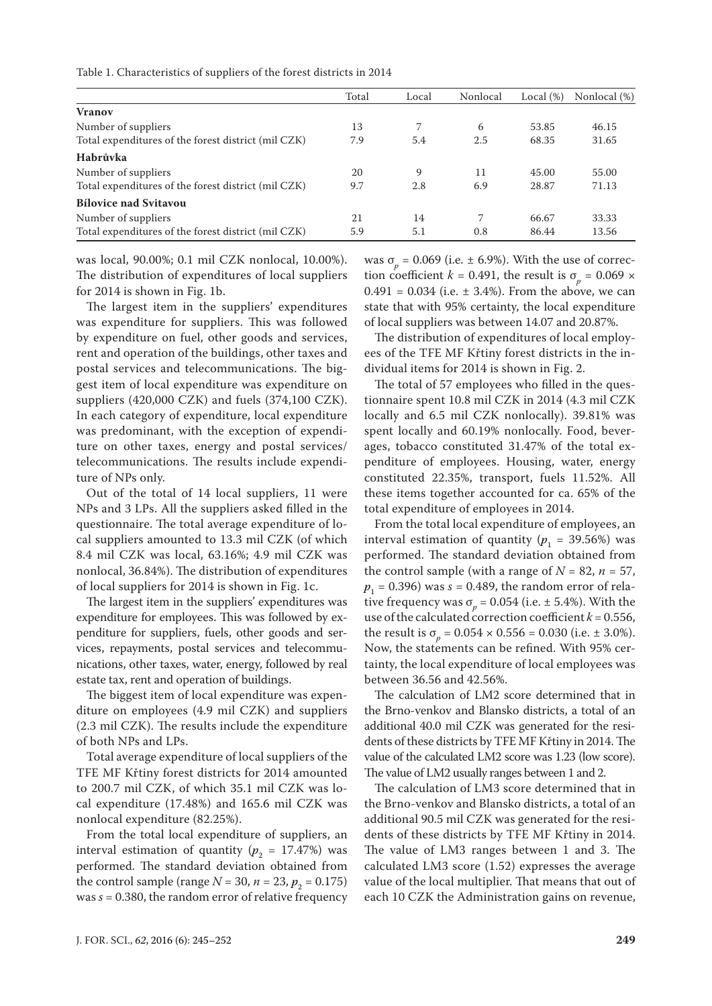| Table 1. Characteristics of suppliers of the forest districts in 2014 |  |  |  |  |
|-----------------------------------------------------------------------|--|--|--|--|
|-----------------------------------------------------------------------|--|--|--|--|

|                                                     | Total | Local | Nonlocal | Local $(\%)$ | Nonlocal (%) |
|-----------------------------------------------------|-------|-------|----------|--------------|--------------|
| Vranov                                              |       |       |          |              |              |
| Number of suppliers                                 | 13    |       | 6        | 53.85        | 46.15        |
| Total expenditures of the forest district (mil CZK) | 7.9   | 5.4   | 2.5      | 68.35        | 31.65        |
| Habrůvka                                            |       |       |          |              |              |
| Number of suppliers                                 | 20    | 9     | 11       | 45.00        | 55.00        |
| Total expenditures of the forest district (mil CZK) | 9.7   | 2.8   | 6.9      | 28.87        | 71.13        |
| <b>Bílovice nad Svitavou</b>                        |       |       |          |              |              |
| Number of suppliers                                 | 21    | 14    |          | 66.67        | 33.33        |
| Total expenditures of the forest district (mil CZK) | 5.9   | 5.1   | 0.8      | 86.44        | 13.56        |

was local, 90.00%; 0.1 mil CZK nonlocal, 10.00%). The distribution of expenditures of local suppliers for 2014 is shown in Fig. 1b.

The largest item in the suppliers' expenditures was expenditure for suppliers. This was followed by expenditure on fuel, other goods and services, rent and operation of the buildings, other taxes and postal services and telecommunications. The biggest item of local expenditure was expenditure on suppliers (420,000 CZK) and fuels (374,100 CZK). In each category of expenditure, local expenditure was predominant, with the exception of expenditure on other taxes, energy and postal services/ telecommunications. The results include expenditure of NPs only.

Out of the total of 14 local suppliers, 11 were NPs and 3 LPs. All the suppliers asked filled in the questionnaire. The total average expenditure of local suppliers amounted to 13.3 mil CZK (of which 8.4 mil CZK was local, 63.16%; 4.9 mil CZK was nonlocal, 36.84%). The distribution of expenditures of local suppliers for 2014 is shown in Fig. 1c.

The largest item in the suppliers' expenditures was expenditure for employees. This was followed by expenditure for suppliers, fuels, other goods and services, repayments, postal services and telecommunications, other taxes, water, energy, followed by real estate tax, rent and operation of buildings.

The biggest item of local expenditure was expenditure on employees (4.9 mil CZK) and suppliers (2.3 mil CZK). The results include the expenditure of both NPs and LPs.

Total average expenditure of local suppliers of the TFE MF Křtiny forest districts for 2014 amounted to 200.7 mil CZK, of which 35.1 mil CZK was local expenditure (17.48%) and 165.6 mil CZK was nonlocal expenditure (82.25%).

From the total local expenditure of suppliers, an interval estimation of quantity  $(p_2 = 17.47%)$  was performed. The standard deviation obtained from the control sample (range  $N = 30$ ,  $n = 23$ ,  $p_2 = 0.175$ ) was  $s = 0.380$ , the random error of relative frequency

was  $\sigma_p$  = 0.069 (i.e.  $\pm$  6.9%). With the use of correction coefficient *k* = 0.491, the result is  $\sigma_p = 0.069 \times$  $0.491 = 0.034$  (i.e.  $\pm 3.4\%$ ). From the above, we can state that with 95% certainty, the local expenditure of local suppliers was between 14.07 and 20.87%.

The distribution of expenditures of local employees of the TFE MF Křtiny forest districts in the individual items for 2014 is shown in Fig. 2.

The total of 57 employees who filled in the questionnaire spent 10.8 mil CZK in 2014 (4.3 mil CZK locally and 6.5 mil CZK nonlocally). 39.81% was spent locally and 60.19% nonlocally. Food, beverages, tobacco constituted 31.47% of the total expenditure of employees. Housing, water, energy constituted 22.35%, transport, fuels 11.52%. All these items together accounted for ca. 65% of the total expenditure of employees in 2014.

From the total local expenditure of employees, an interval estimation of quantity  $(p_1 = 39.56\%)$  was performed. The standard deviation obtained from the control sample (with a range of  $N = 82$ ,  $n = 57$ ,  $p_{1}$  = 0.396) was  $s$  = 0.489, the random error of relative frequency was  $\sigma_p$  = 0.054 (i.e.  $\pm$  5.4%). With the use of the calculated correction coefficient  $k = 0.556$ , the result is  $\sigma_p = 0.054 \times 0.556 = 0.030$  (i.e.  $\pm$  3.0%). Now, the statements can be refined. With 95% certainty, the local expenditure of local employees was between 36.56 and 42.56%.

The calculation of LM2 score determined that in the Brno-venkov and Blansko districts, a total of an additional 40.0 mil CZK was generated for the residents of these districts by TFE MF Křtiny in 2014. The value of the calculated LM2 score was 1.23 (low score). The value of LM2 usually ranges between 1 and 2.

The calculation of LM3 score determined that in the Brno-venkov and Blansko districts, a total of an additional 90.5 mil CZK was generated for the residents of these districts by TFE MF Křtiny in 2014. The value of LM3 ranges between 1 and 3. The calculated LM3 score (1.52) expresses the average value of the local multiplier. That means that out of each 10 CZK the Administration gains on revenue,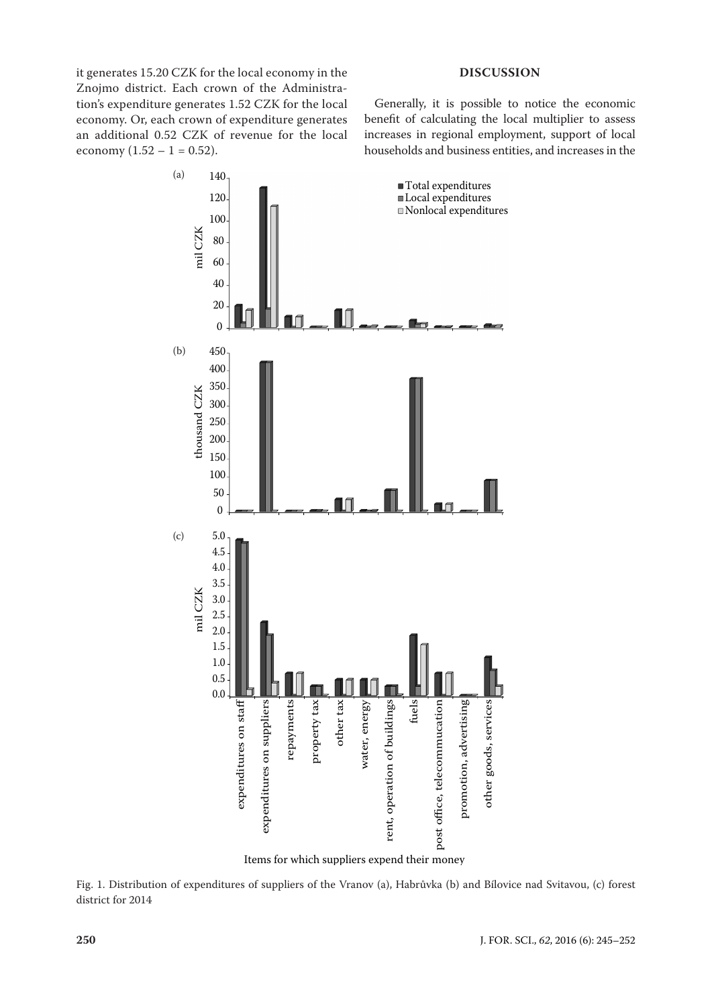it generates 15.20 CZK for the local economy in the Znojmo district. Each crown of the Administration's expenditure generates 1.52 CZK for the local economy. Or, each crown of expenditure generates an additional 0.52 CZK of revenue for the local economy  $(1.52 - 1 = 0.52)$ .

## **DISCUSSION**

Generally, it is possible to notice the economic benefit of calculating the local multiplier to assess increases in regional employment, support of local households and business entities, and increases in the



Items for which suppliers expend their money

Fig. 1. Distribution of expenditures of suppliers of the Vranov (a), Habrůvka (b) and Bílovice nad Svitavou, (c) forest district for 2014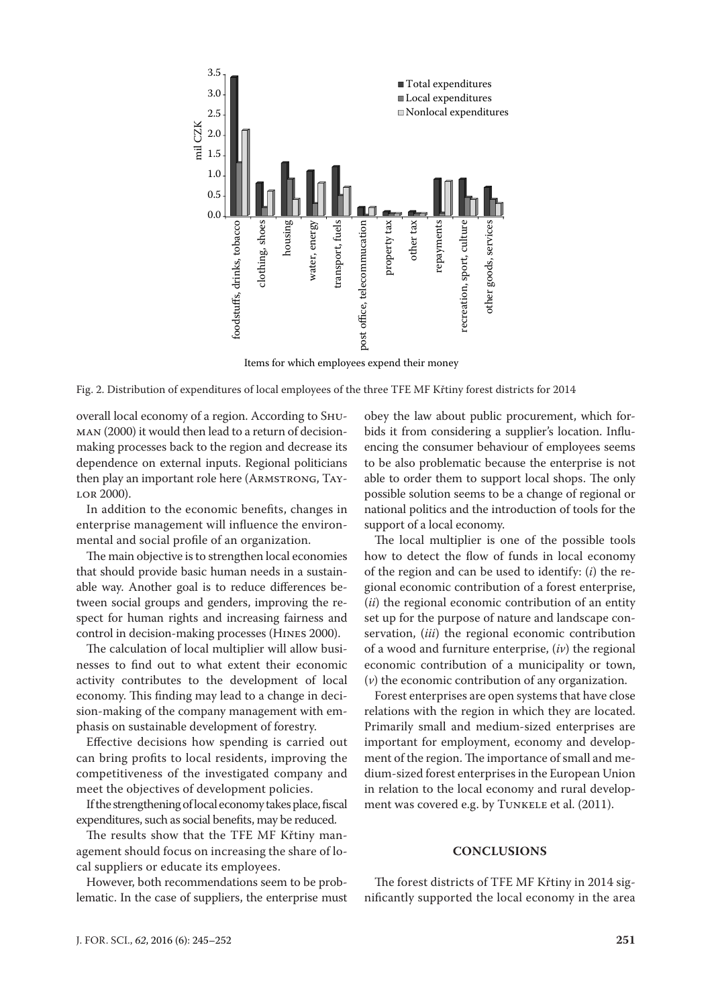

Items for which employees expend their money

Fig. 2. Distribution of expenditures of local employees of the three TFE MF Křtiny forest districts for 2014

overall local economy of a region. According to Shuman (2000) it would then lead to a return of decisionmaking processes back to the region and decrease its dependence on external inputs. Regional politicians then play an important role here (ARMSTRONG, TAYlor 2000).

In addition to the economic benefits, changes in enterprise management will influence the environmental and social profile of an organization.

The main objective is to strengthen local economies that should provide basic human needs in a sustainable way. Another goal is to reduce differences between social groups and genders, improving the respect for human rights and increasing fairness and control in decision-making processes (Hines 2000).

The calculation of local multiplier will allow businesses to find out to what extent their economic activity contributes to the development of local economy. This finding may lead to a change in decision-making of the company management with emphasis on sustainable development of forestry.

Effective decisions how spending is carried out can bring profits to local residents, improving the competitiveness of the investigated company and meet the objectives of development policies.

If the strengthening of local economy takes place, fiscal expenditures, such as social benefits, may be reduced.

The results show that the TFE MF Křtiny management should focus on increasing the share of local suppliers or educate its employees.

However, both recommendations seem to be problematic. In the case of suppliers, the enterprise must

obey the law about public procurement, which forbids it from considering a supplier's location. Influencing the consumer behaviour of employees seems to be also problematic because the enterprise is not able to order them to support local shops. The only possible solution seems to be a change of regional or national politics and the introduction of tools for the support of a local economy.

The local multiplier is one of the possible tools how to detect the flow of funds in local economy of the region and can be used to identify: (*i*) the regional economic contribution of a forest enterprise, (*ii*) the regional economic contribution of an entity set up for the purpose of nature and landscape conservation, (*iii*) the regional economic contribution of a wood and furniture enterprise, (*iv*) the regional economic contribution of a municipality or town, (*v*) the economic contribution of any organization.

Forest enterprises are open systems that have close relations with the region in which they are located. Primarily small and medium-sized enterprises are important for employment, economy and development of the region. The importance of small and medium-sized forest enterprises in the European Union in relation to the local economy and rural development was covered e.g. by TUNKELE et al. (2011).

#### **CONCLUSIONS**

The forest districts of TFE MF Křtiny in 2014 significantly supported the local economy in the area